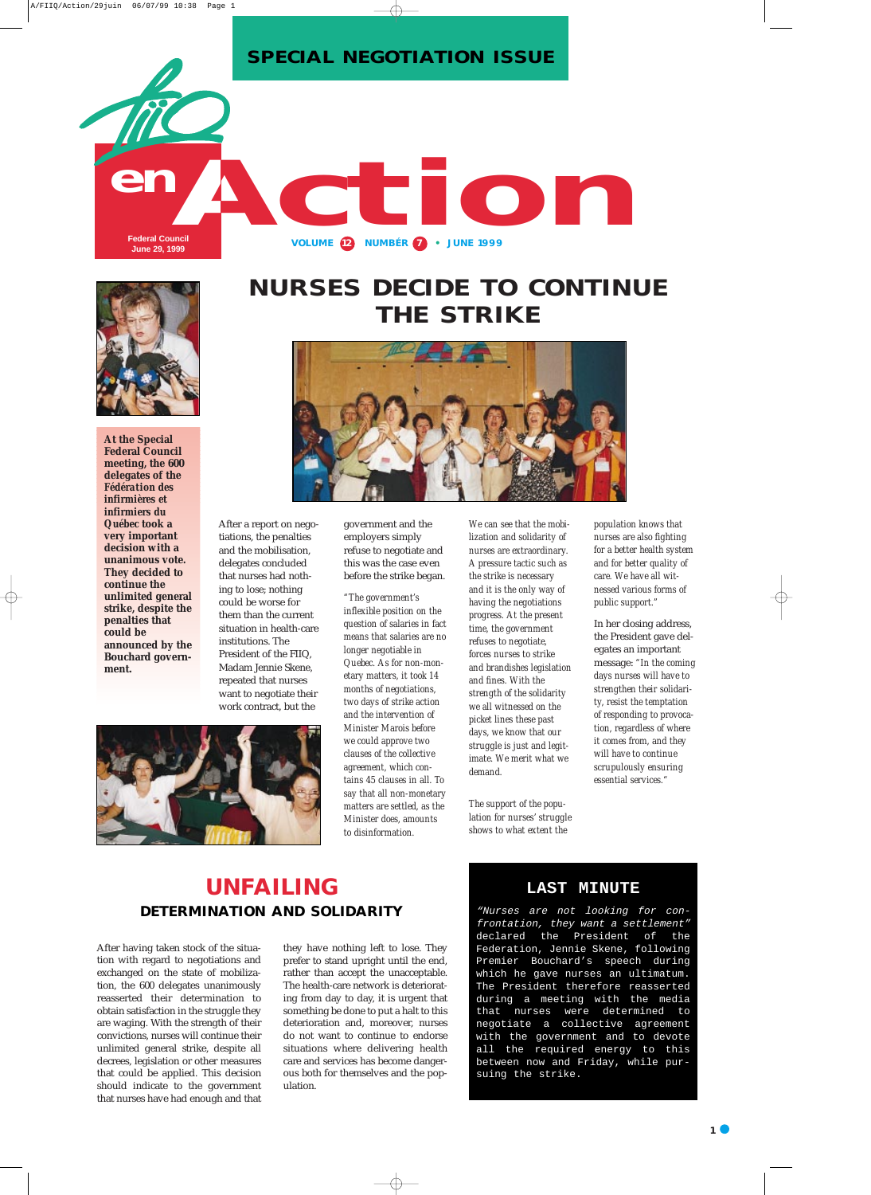After a report on negotiations, the penalties and the mobilisation, delegates concluded that nurses had nothing to lose; nothing could be worse for them than the current situation in health-care institutions. The President of the FIIQ, Madam Jennie Skene, repeated that nurses want to negotiate their work contract, but the

government and the employers simply refuse to negotiate and this was the case even before the strike began.

*"The government's inflexible position on the question of salaries in fact means that salaries are no longer negotiable in Quebec. As for non-monetary matters, it took 14 months of negotiations, two days of strike action and the intervention of Minister Marois before we could approve two clauses of the collective agreement, which contains 45 clauses in all. To say that all non-monetary matters are settled, as the Minister does, amounts to disinformation.* 

*We can see that the mobilization and solidarity of nurses are extraordinary. A pressure tactic such as the strike is necessary and it is the only way of having the negotiations progress. At the present time, the government refuses to negotiate, forces nurses to strike and brandishes legislation and fines. With the strength of the solidarity we all witnessed on the picket lines these past days, we know that our struggle is just and legitimate. We merit what we demand.* 

*The support of the population for nurses' struggle shows to what extent the*

*population knows that nurses are also fighting for a better health system and for better quality of care. We have all witnessed various forms of public support."*

In her closing address, the President gave delegates an important message: *"In the coming days nurses will have to strengthen their solidarity, resist the temptation of responding to provocation, regardless of where it comes from, and they will have to continue scrupulously ensuring essential services."*





## **NURSES DECIDE TO CONTINUE THE STRIKE**



**At the Special Federal Council meeting, the 600 delegates of the** *Fédération des infirmières et infirmiers du Québec* **took a very important decision with a unanimous vote. They decided to continue the unlimited general strike, despite the penalties that could be announced by the Bouchard government.** 

After having taken stock of the situation with regard to negotiations and exchanged on the state of mobilization, the 600 delegates unanimously reasserted their determination to obtain satisfaction in the struggle they are waging. With the strength of their convictions, nurses will continue their unlimited general strike, despite all decrees, legislation or other measures that could be applied. This decision should indicate to the government that nurses have had enough and that

they have nothing left to lose. They prefer to stand upright until the end, rather than accept the unacceptable. The health-care network is deteriorating from day to day, it is urgent that something be done to put a halt to this deterioration and, moreover, nurses do not want to continue to endorse situations where delivering health care and services has become dangerous both for themselves and the population.

## **UNFAILING DETERMINATION AND SOLIDARITY**

#### **LAST MINUTE**

"Nurses are not looking for confrontation, they want a settlement" declared the President of the Federation, Jennie Skene, following Premier Bouchard's speech during which he gave nurses an ultimatum. The President therefore reasserted during a meeting with the media that nurses were determined to negotiate a collective agreement with the government and to devote all the required energy to this between now and Friday, while pursuing the strike.

**SPECIAL NEGOTIATION ISSUE**

**VOLUME 12 NUMBÉR 7 • JUNE 1999**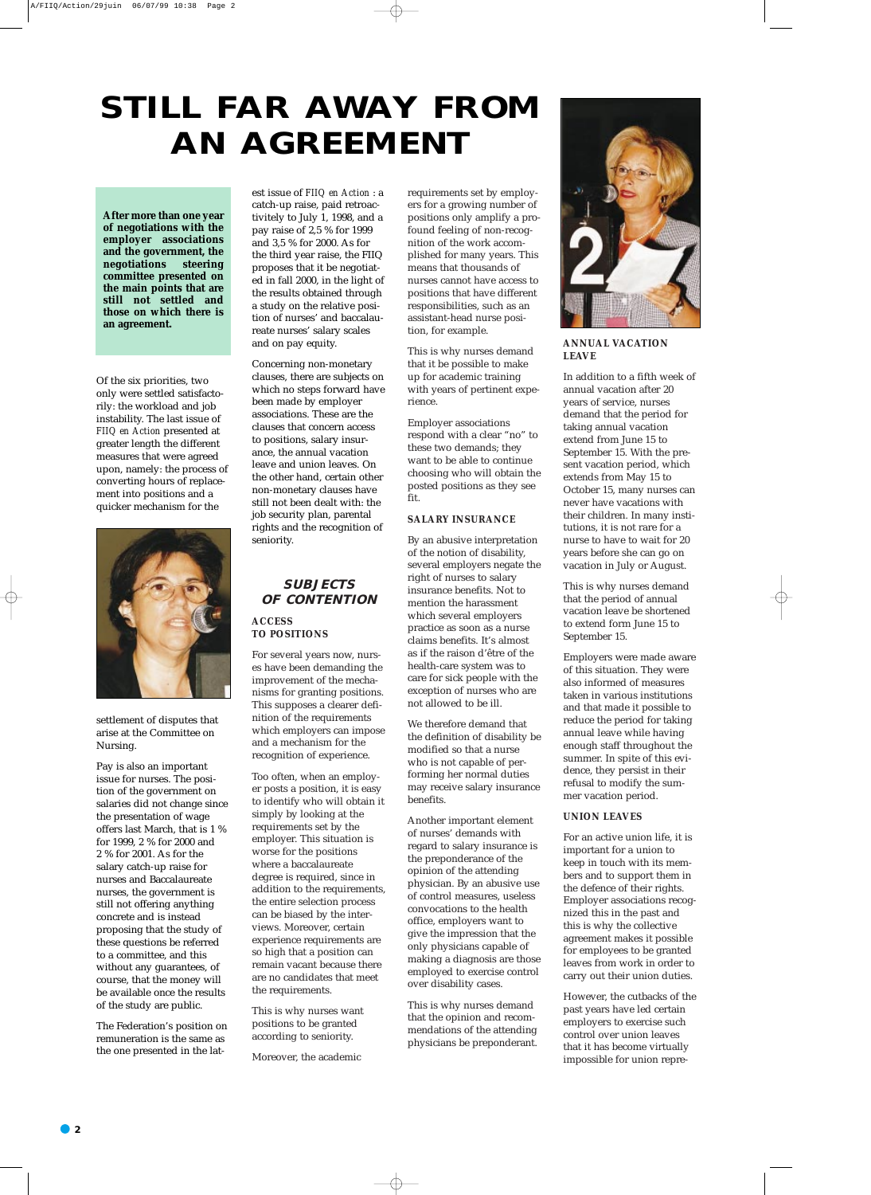Of the six priorities, two only were settled satisfactorily: the workload and job instability. The last issue of *FIIQ en Action* presented at greater length the different measures that were agreed upon, namely: the process of converting hours of replacement into positions and a quicker mechanism for the



settlement of disputes that arise at the Committee on Nursing.

Pay is also an important issue for nurses. The position of the government on salaries did not change since the presentation of wage offers last March, that is 1 % for 1999, 2 % for 2000 and 2 % for 2001. As for the salary catch-up raise for nurses and Baccalaureate nurses, the government is still not offering anything concrete and is instead proposing that the study of these questions be referred to a committee, and this without any guarantees, of course, that the money will be available once the results of the study are public.

The Federation's position on remuneration is the same as the one presented in the latest issue of *FIIQ en Action* : a catch-up raise, paid retroactivitely to July 1, 1998, and a pay raise of 2,5 % for 1999 and 3,5 % for 2000. As for the third year raise, the FIIQ proposes that it be negotiated in fall 2000, in the light of the results obtained through a study on the relative position of nurses' and baccalaureate nurses' salary scales and on pay equity.

Concerning non-monetary clauses, there are subjects on which no steps forward have been made by employer associations. These are the clauses that concern access to positions, salary insurance, the annual vacation leave and union leaves. On the other hand, certain other non-monetary clauses have still not been dealt with: the job security plan, parental rights and the recognition of seniority.

#### **SUBJECTS OF CONTENTION**

#### **ACCESS TO POSITIONS**

For several years now, nurses have been demanding the improvement of the mechanisms for granting positions. This supposes a clearer definition of the requirements which employers can impose and a mechanism for the recognition of experience.

Too often, when an employer posts a position, it is easy to identify who will obtain it simply by looking at the requirements set by the employer. This situation is worse for the positions where a baccalaureate degree is required, since in addition to the requirements, the entire selection process can be biased by the interviews. Moreover, certain experience requirements are so high that a position can remain vacant because there are no candidates that meet the requirements.

This is why nurses want positions to be granted according to seniority.

Moreover, the academic

requirements set by employers for a growing number of positions only amplify a profound feeling of non-recognition of the work accomplished for many years. This means that thousands of nurses cannot have access to positions that have different responsibilities, such as an assistant-head nurse position, for example.

This is why nurses demand that it be possible to make up for academic training with years of pertinent experience.

Employer associations respond with a clear "no" to these two demands; they want to be able to continue choosing who will obtain the posted positions as they see fit.

#### **SALARY INSURANCE**

By an abusive interpretation of the notion of disability, several employers negate the right of nurses to salary insurance benefits. Not to mention the harassment which several employers practice as soon as a nurse claims benefits. It's almost as if the raison d'être of the health-care system was to care for sick people with the exception of nurses who are not allowed to be ill.

We therefore demand that the definition of disability be modified so that a nurse who is not capable of performing her normal duties may receive salary insurance benefits.

Another important element of nurses' demands with regard to salary insurance is the preponderance of the opinion of the attending physician. By an abusive use of control measures, useless convocations to the health office, employers want to give the impression that the only physicians capable of making a diagnosis are those employed to exercise control over disability cases.

This is why nurses demand that the opinion and recommendations of the attending physicians be preponderant.



**ANNUAL VACATION LEAVE** 

In addition to a fifth week of annual vacation after 20 years of service, nurses demand that the period for taking annual vacation extend from June 15 to September 15. With the present vacation period, which extends from May 15 to October 15, many nurses can never have vacations with their children. In many institutions, it is not rare for a nurse to have to wait for 20 years before she can go on vacation in July or August.

This is why nurses demand that the period of annual vacation leave be shortened to extend form June 15 to September 15.

Employers were made aware of this situation. They were also informed of measures taken in various institutions and that made it possible to reduce the period for taking annual leave while having enough staff throughout the summer. In spite of this evidence, they persist in their refusal to modify the summer vacation period.

#### **UNION LEAVES**

For an active union life, it is important for a union to keep in touch with its members and to support them in the defence of their rights. Employer associations recognized this in the past and this is why the collective agreement makes it possible for employees to be granted leaves from work in order to carry out their union duties.

However, the cutbacks of the past years have led certain employers to exercise such control over union leaves that it has become virtually impossible for union repre-

## **STILL FAR AWAY FROM AN AGREEMENT**

**After more than one year of negotiations with the employer associations and the government, the negotiations steering committee presented on the main points that are still not settled and those on which there is an agreement.**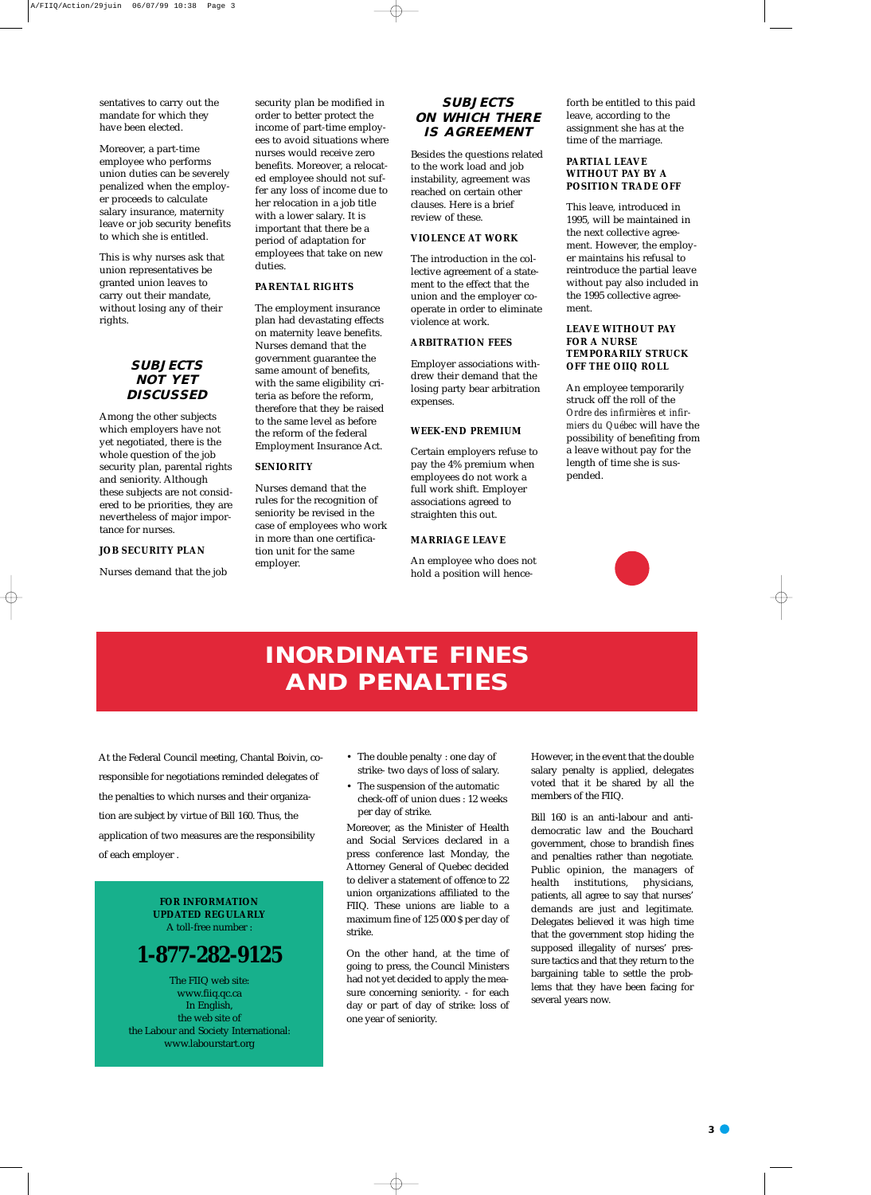**3**

sentatives to carry out the mandate for which they have been elected.

Moreover, a part-time employee who performs union duties can be severely penalized when the employer proceeds to calculate salary insurance, maternity leave or job security benefits to which she is entitled.

This is why nurses ask that union representatives be granted union leaves to carry out their mandate, without losing any of their rights.

#### **SUBJECTS NOT YET DISCUSSED**

Among the other subjects which employers have not yet negotiated, there is the whole question of the job security plan, parental rights and seniority. Although these subjects are not considered to be priorities, they are nevertheless of major importance for nurses.

#### **JOB SECURITY PLAN**

Nurses demand that the job

security plan be modified in order to better protect the income of part-time employees to avoid situations where nurses would receive zero benefits. Moreover, a relocated employee should not suffer any loss of income due to her relocation in a job title with a lower salary. It is important that there be a period of adaptation for employees that take on new duties.

#### **PARENTAL RIGHTS**

The employment insurance plan had devastating effects on maternity leave benefits. Nurses demand that the government guarantee the same amount of benefits, with the same eligibility criteria as before the reform, therefore that they be raised to the same level as before the reform of the federal Employment Insurance Act.

#### **SENIORITY**

Nurses demand that the rules for the recognition of seniority be revised in the case of employees who work in more than one certification unit for the same employer.

#### **SUBJECTS ON WHICH THERE IS AGREEMENT**

Besides the questions related to the work load and job instability, agreement was reached on certain other clauses. Here is a brief review of these.

#### **VIOLENCE AT WORK**

The introduction in the collective agreement of a statement to the effect that the union and the employer cooperate in order to eliminate violence at work.

#### **ARBITRATION FEES**

Employer associations withdrew their demand that the losing party bear arbitration expenses.

#### **WEEK-END PREMIUM**

Certain employers refuse to pay the 4% premium when employees do not work a full work shift. Employer associations agreed to straighten this out.

#### **MARRIAGE LEAVE**

An employee who does not hold a position will henceforth be entitled to this paid leave, according to the assignment she has at the time of the marriage.

#### **PARTIAL LEAVE WITHOUT PAY BY A POSITION TRADE OFF**

This leave, introduced in 1995, will be maintained in the next collective agreement. However, the employer maintains his refusal to reintroduce the partial leave without pay also included in the 1995 collective agreement.

#### **LEAVE WITHOUT PAY FOR A NURSE TEMPORARILY STRUCK OFF THE OIIQ ROLL**

An employee temporarily struck off the roll of the *Ordre des infirmières et infirmiers du Québec* will have the possibility of benefiting from a leave without pay for the length of time she is suspended.



- The double penalty : one day of strike- two days of loss of salary.
- The suspension of the automatic check-off of union dues : 12 weeks per day of strike.

Moreover, as the Minister of Health and Social Services declared in a press conference last Monday, the Attorney General of Quebec decided to deliver a statement of offence to 22 union organizations affiliated to the FIIQ. These unions are liable to a maximum fine of 125 000 \$ per day of strike.

On the other hand, at the time of going to press, the Council Ministers had not yet decided to apply the measure concerning seniority. - for each day or part of day of strike: loss of one year of seniority.

However, in the event that the double salary penalty is applied, delegates voted that it be shared by all the members of the FIIQ.

Bill 160 is an anti-labour and antidemocratic law and the Bouchard government, chose to brandish fines and penalties rather than negotiate. Public opinion, the managers of health institutions, physicians, patients, all agree to say that nurses' demands are just and legitimate. Delegates believed it was high time that the government stop hiding the supposed illegality of nurses' pressure tactics and that they return to the bargaining table to settle the problems that they have been facing for several years now.

## **INORDINATE FINES AND PENALTIES**

At the Federal Council meeting, Chantal Boivin, coresponsible for negotiations reminded delegates of the penalties to which nurses and their organization are subject by virtue of Bill 160. Thus, the application of two measures are the responsibility of each employer .

> **FOR INFORMATION UPDATED REGULARLY**  A toll-free number :

### **1-877-282-9125**

The FIIQ web site: www.fiiq.qc.ca In English, the web site of the Labour and Society International: www.labourstart.org